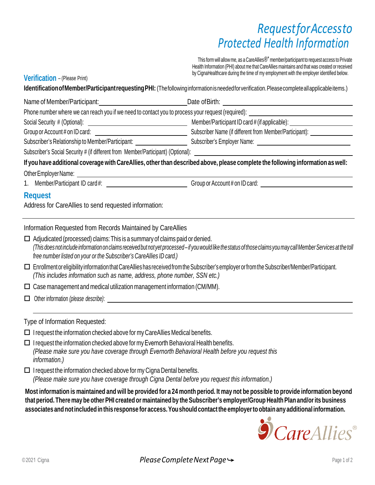## *RequestforAccessto Protected Health Information*

This form will allow me, as a CareAllies $\mathbb{R}^*$  member/participant to request access to Private Health Information (PHI) about me that CareAllies maintains and that was created or received by CignaHealthcare during the time of my employment with the employer identified below.

**Verification** – (Please Print)

**IdentificationofMember/ParticipantrequestingPHI:** (Thefollowinginformationisneededforverification.Pleasecompleteallapplicableitems.)

| Name of Member/Participant:                                                                       | Date of Birth:                                          |  |  |
|---------------------------------------------------------------------------------------------------|---------------------------------------------------------|--|--|
| Phone number where we can reach you if we need to contact you to process your request (required): |                                                         |  |  |
| Social Security # (Optional):                                                                     | Member/Participant ID card # (if applicable):           |  |  |
| Group or Account # on ID card:                                                                    | Subscriber Name (if different from Member/Participant): |  |  |
| Subscriber's Relationship to Member/Participant:                                                  | Subscriber's Employer Name:                             |  |  |
| Subscriber's Social Security # (if different from Member/Participant) (Optional):                 |                                                         |  |  |

If you have additional coverage with CareAllies, other than described above, please complete the following information as well:

OtherEmployerName:

1. Member/Participant ID card #: Group or Account # on ID card:

## **Request**

Address for CareAllies to send requested information:

Information Requested from Records Maintained by CareAllies

| $\Box$ Adjudicated (processed) claims: This is a summary of claims paid or denied.                                                                                  |
|---------------------------------------------------------------------------------------------------------------------------------------------------------------------|
| (This does not include information on claims received but not yet processed - if you would like the status of those claims you may call Member Services at the toll |
| free number listed on your or the Subscriber's CareAllies ID card.)                                                                                                 |

 EnrollmentoreligibilityinformationthatCareAllieshasreceivedfromtheSubscriber'semployerorfromtheSubscriber/Member/Participant. *(This includes information such as name, address, phone number, SSN etc.)*

 $\square$  Case management and medical utilization management information (CM/MM).

- Other information *(please describe)*:
- Type of Information Requested:
- $\Box$  I request the information checked above for my CareAllies Medical benefits.

 $\Box$  I request the information checked above for my Evernorth Behavioral Health benefits. *(Please make sure you have coverage through Evernorth Behavioral Health before you request this information.)*

 $\Box$  I request the information checked above for my Cigna Dental benefits. *(Please make sure you have coverage through Cigna Dental before you request this information.)*

Most information is maintained and will be provided for a 24 month period. It may not be possible to provide information beyond **that period.There may be other PHI created or maintainedby the Subscriber's employer/Group HealthPlan and/orits business associates andnotincludedinthis response for access.Youshouldcontactthe employerto obtainany additional information.**